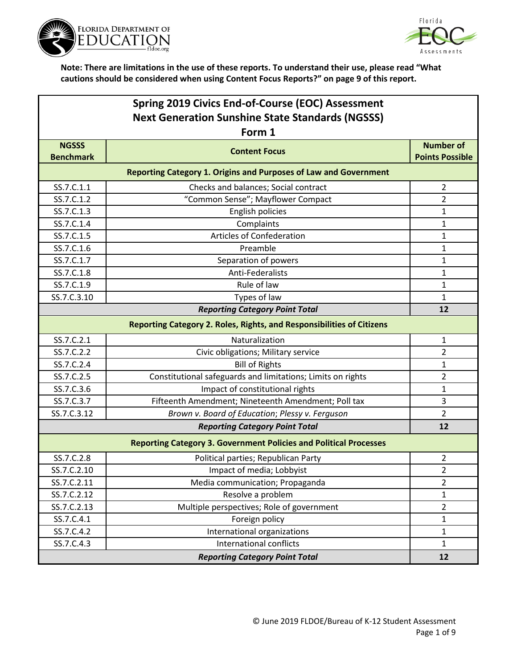



| Spring 2019 Civics End-of-Course (EOC) Assessment       |                                                                          |                                            |
|---------------------------------------------------------|--------------------------------------------------------------------------|--------------------------------------------|
| <b>Next Generation Sunshine State Standards (NGSSS)</b> |                                                                          |                                            |
|                                                         | Form 1                                                                   |                                            |
| <b>NGSSS</b><br><b>Benchmark</b>                        | <b>Content Focus</b>                                                     | <b>Number of</b><br><b>Points Possible</b> |
|                                                         | <b>Reporting Category 1. Origins and Purposes of Law and Government</b>  |                                            |
| SS.7.C.1.1                                              | Checks and balances; Social contract                                     | $\overline{2}$                             |
| SS.7.C.1.2                                              | "Common Sense"; Mayflower Compact                                        | $\overline{2}$                             |
| SS.7.C.1.3                                              | English policies                                                         | 1                                          |
| SS.7.C.1.4                                              | Complaints                                                               | 1                                          |
| SS.7.C.1.5                                              | <b>Articles of Confederation</b>                                         | $\mathbf{1}$                               |
| SS.7.C.1.6                                              | Preamble                                                                 | $\mathbf{1}$                               |
| SS.7.C.1.7                                              | Separation of powers                                                     | $\mathbf{1}$                               |
| SS.7.C.1.8                                              | Anti-Federalists                                                         | 1                                          |
| SS.7.C.1.9                                              | Rule of law                                                              | $\mathbf{1}$                               |
| SS.7.C.3.10                                             | Types of law                                                             | 1                                          |
|                                                         | <b>Reporting Category Point Total</b>                                    | 12                                         |
|                                                         | Reporting Category 2. Roles, Rights, and Responsibilities of Citizens    |                                            |
| SS.7.C.2.1                                              | Naturalization                                                           | $\mathbf{1}$                               |
| SS.7.C.2.2                                              | Civic obligations; Military service                                      | $\overline{2}$                             |
| SS.7.C.2.4                                              | <b>Bill of Rights</b>                                                    | $\mathbf{1}$                               |
| SS.7.C.2.5                                              | Constitutional safeguards and limitations; Limits on rights              | $\overline{2}$                             |
| SS.7.C.3.6                                              | Impact of constitutional rights                                          | $\mathbf{1}$                               |
| SS.7.C.3.7                                              | Fifteenth Amendment; Nineteenth Amendment; Poll tax                      | 3                                          |
| SS.7.C.3.12                                             | Brown v. Board of Education; Plessy v. Ferguson                          | $\overline{2}$                             |
|                                                         | <b>Reporting Category Point Total</b>                                    | 12                                         |
|                                                         | <b>Reporting Category 3. Government Policies and Political Processes</b> |                                            |
| SS.7.C.2.8                                              | Political parties; Republican Party                                      | $\overline{2}$                             |
| SS.7.C.2.10                                             | Impact of media; Lobbyist                                                | 2                                          |
| SS.7.C.2.11                                             | Media communication; Propaganda                                          | $\overline{2}$                             |
| SS.7.C.2.12                                             | Resolve a problem                                                        | $\mathbf{1}$                               |
| SS.7.C.2.13                                             | Multiple perspectives; Role of government                                | $\overline{2}$                             |
| SS.7.C.4.1                                              | Foreign policy                                                           | $\mathbf{1}$                               |
| SS.7.C.4.2                                              | International organizations                                              | $\mathbf{1}$                               |
| SS.7.C.4.3                                              | <b>International conflicts</b>                                           | $\mathbf{1}$                               |
|                                                         | <b>Reporting Category Point Total</b>                                    | 12                                         |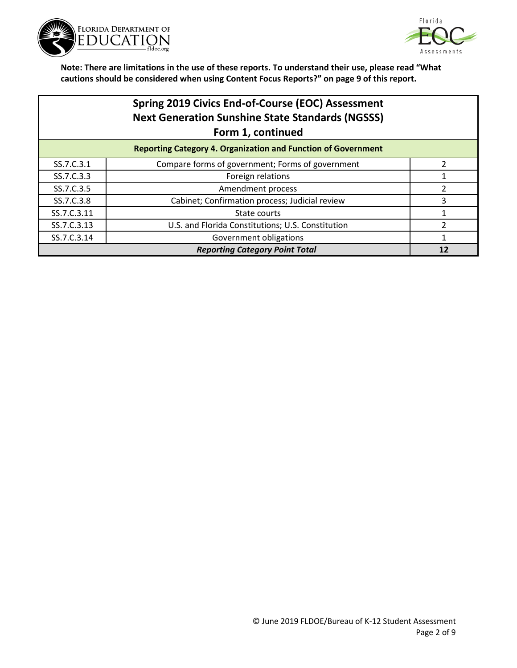



|             | Spring 2019 Civics End-of-Course (EOC) Assessment<br><b>Next Generation Sunshine State Standards (NGSSS)</b><br>Form 1, continued |   |
|-------------|-----------------------------------------------------------------------------------------------------------------------------------|---|
|             | <b>Reporting Category 4. Organization and Function of Government</b>                                                              |   |
| SS.7.C.3.1  | Compare forms of government; Forms of government                                                                                  |   |
| SS.7.C.3.3  | Foreign relations                                                                                                                 |   |
| SS.7.C.3.5  | Amendment process                                                                                                                 |   |
| SS.7.C.3.8  | Cabinet; Confirmation process; Judicial review                                                                                    | 3 |
| SS.7.C.3.11 | State courts                                                                                                                      |   |
| SS.7.C.3.13 | U.S. and Florida Constitutions; U.S. Constitution                                                                                 |   |
| SS.7.C.3.14 | Government obligations                                                                                                            |   |

*Reporting Category Point Total* **12**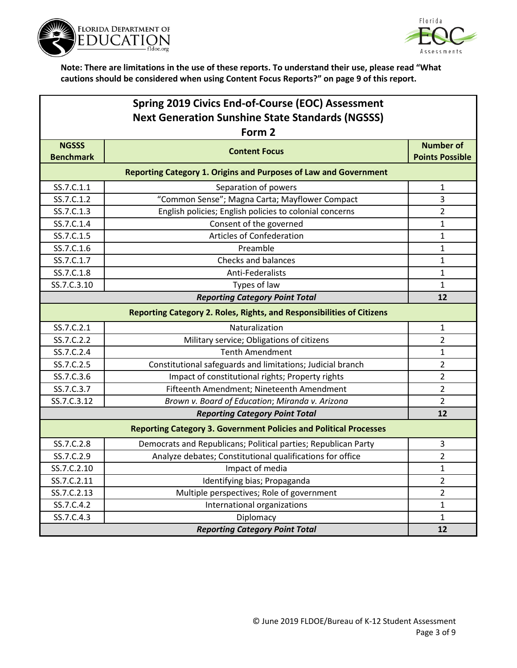



| Spring 2019 Civics End-of-Course (EOC) Assessment       |                                                                          |                        |  |
|---------------------------------------------------------|--------------------------------------------------------------------------|------------------------|--|
| <b>Next Generation Sunshine State Standards (NGSSS)</b> |                                                                          |                        |  |
|                                                         | Form 2                                                                   |                        |  |
| <b>NGSSS</b>                                            | <b>Content Focus</b>                                                     | <b>Number of</b>       |  |
| <b>Benchmark</b>                                        |                                                                          | <b>Points Possible</b> |  |
|                                                         | <b>Reporting Category 1. Origins and Purposes of Law and Government</b>  |                        |  |
| SS.7.C.1.1                                              | Separation of powers                                                     | 1                      |  |
| SS.7.C.1.2                                              | "Common Sense"; Magna Carta; Mayflower Compact                           | 3                      |  |
| SS.7.C.1.3                                              | English policies; English policies to colonial concerns                  | 2                      |  |
| SS.7.C.1.4                                              | Consent of the governed                                                  | 1                      |  |
| SS.7.C.1.5                                              | Articles of Confederation                                                | 1                      |  |
| SS.7.C.1.6                                              | Preamble                                                                 | 1                      |  |
| SS.7.C.1.7                                              | <b>Checks and balances</b>                                               | 1                      |  |
| SS.7.C.1.8                                              | Anti-Federalists                                                         | 1                      |  |
| SS.7.C.3.10                                             | Types of law                                                             | 1                      |  |
| <b>Reporting Category Point Total</b>                   |                                                                          |                        |  |
|                                                         | Reporting Category 2. Roles, Rights, and Responsibilities of Citizens    |                        |  |
| SS.7.C.2.1                                              | Naturalization                                                           | 1                      |  |
| SS.7.C.2.2                                              | Military service; Obligations of citizens                                | 2                      |  |
| SS.7.C.2.4                                              | <b>Tenth Amendment</b>                                                   | 1                      |  |
| SS.7.C.2.5                                              | Constitutional safeguards and limitations; Judicial branch               | 2                      |  |
| SS.7.C.3.6                                              | Impact of constitutional rights; Property rights                         | $\overline{2}$         |  |
| SS.7.C.3.7                                              | Fifteenth Amendment; Nineteenth Amendment                                | $\overline{2}$         |  |
| SS.7.C.3.12                                             | Brown v. Board of Education; Miranda v. Arizona                          | 2                      |  |
|                                                         | <b>Reporting Category Point Total</b>                                    | 12                     |  |
|                                                         | <b>Reporting Category 3. Government Policies and Political Processes</b> |                        |  |
| SS.7.C.2.8                                              | Democrats and Republicans; Political parties; Republican Party           | 3                      |  |
| SS.7.C.2.9                                              | Analyze debates; Constitutional qualifications for office                | 2                      |  |
| SS.7.C.2.10                                             | Impact of media                                                          | 1                      |  |
| SS.7.C.2.11                                             | Identifying bias; Propaganda                                             | 2                      |  |
| SS.7.C.2.13                                             | Multiple perspectives; Role of government                                | $\overline{2}$         |  |
| SS.7.C.4.2                                              | International organizations                                              | 1                      |  |
| SS.7.C.4.3                                              | Diplomacy                                                                | 1                      |  |
|                                                         | <b>Reporting Category Point Total</b>                                    | 12                     |  |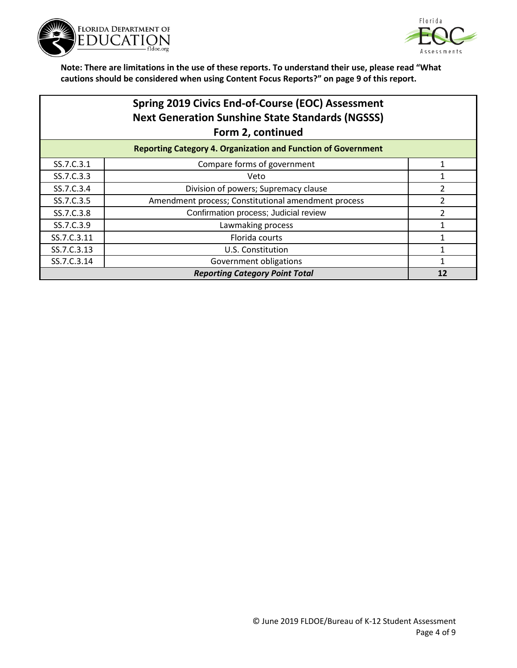



# **Spring 2019 Civics End-of-Course (EOC) Assessment Next Generation Sunshine State Standards (NGSSS) Form 2, continued**

|             | <b>Reporting Category 4. Organization and Function of Government</b> |  |
|-------------|----------------------------------------------------------------------|--|
| SS.7.C.3.1  | Compare forms of government                                          |  |
| SS.7.C.3.3  | Veto                                                                 |  |
| SS.7.C.3.4  | Division of powers; Supremacy clause                                 |  |
| SS.7.C.3.5  | Amendment process; Constitutional amendment process                  |  |
| SS.7.C.3.8  | Confirmation process; Judicial review                                |  |
| SS.7.C.3.9  | Lawmaking process                                                    |  |
| SS.7.C.3.11 | Florida courts                                                       |  |
| SS.7.C.3.13 | U.S. Constitution                                                    |  |
| SS.7.C.3.14 | Government obligations                                               |  |
|             | <b>Reporting Category Point Total</b>                                |  |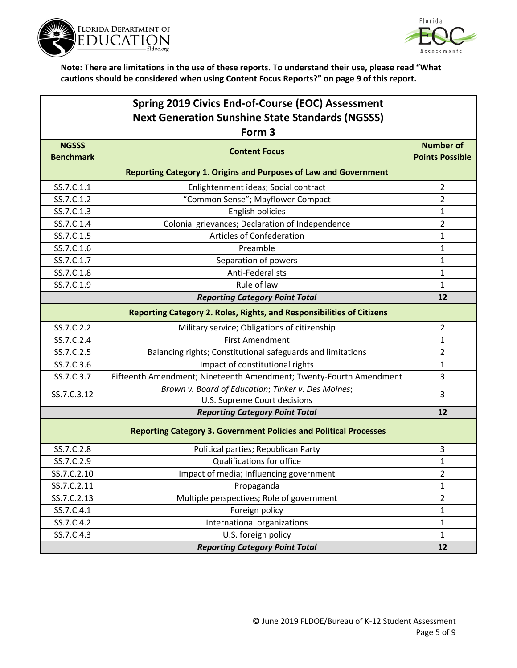



| Spring 2019 Civics End-of-Course (EOC) Assessment       |                                                                              |                                            |  |  |
|---------------------------------------------------------|------------------------------------------------------------------------------|--------------------------------------------|--|--|
| <b>Next Generation Sunshine State Standards (NGSSS)</b> |                                                                              |                                            |  |  |
|                                                         | Form 3                                                                       |                                            |  |  |
| <b>NGSSS</b><br><b>Benchmark</b>                        | <b>Content Focus</b>                                                         | <b>Number of</b><br><b>Points Possible</b> |  |  |
|                                                         | <b>Reporting Category 1. Origins and Purposes of Law and Government</b>      |                                            |  |  |
| SS.7.C.1.1                                              | Enlightenment ideas; Social contract                                         | 2                                          |  |  |
| SS.7.C.1.2                                              | "Common Sense"; Mayflower Compact                                            | $\overline{2}$                             |  |  |
| SS.7.C.1.3                                              | English policies                                                             | 1                                          |  |  |
| SS.7.C.1.4                                              | Colonial grievances; Declaration of Independence                             | $\overline{2}$                             |  |  |
| SS.7.C.1.5                                              | <b>Articles of Confederation</b>                                             | 1                                          |  |  |
| SS.7.C.1.6                                              | Preamble                                                                     | 1                                          |  |  |
| SS.7.C.1.7                                              | Separation of powers                                                         | 1                                          |  |  |
| SS.7.C.1.8                                              | Anti-Federalists                                                             | 1                                          |  |  |
| SS.7.C.1.9                                              | Rule of law                                                                  | 1                                          |  |  |
| <b>Reporting Category Point Total</b>                   |                                                                              | 12                                         |  |  |
|                                                         | <b>Reporting Category 2. Roles, Rights, and Responsibilities of Citizens</b> |                                            |  |  |
| SS.7.C.2.2                                              | Military service; Obligations of citizenship                                 | $\overline{2}$                             |  |  |
| SS.7.C.2.4                                              | <b>First Amendment</b>                                                       | 1                                          |  |  |
| SS.7.C.2.5                                              | Balancing rights; Constitutional safeguards and limitations                  | $\overline{2}$                             |  |  |
| SS.7.C.3.6                                              | Impact of constitutional rights                                              | 1                                          |  |  |
| SS.7.C.3.7                                              | Fifteenth Amendment; Nineteenth Amendment; Twenty-Fourth Amendment           | 3                                          |  |  |
|                                                         | Brown v. Board of Education; Tinker v. Des Moines;                           | 3                                          |  |  |
| SS.7.C.3.12                                             | U.S. Supreme Court decisions                                                 |                                            |  |  |
|                                                         | <b>Reporting Category Point Total</b>                                        | 12                                         |  |  |
|                                                         | <b>Reporting Category 3. Government Policies and Political Processes</b>     |                                            |  |  |
| SS.7.C.2.8                                              | Political parties; Republican Party                                          | 3                                          |  |  |
| SS.7.C.2.9                                              | Qualifications for office                                                    | 1                                          |  |  |
| SS.7.C.2.10                                             | Impact of media; Influencing government                                      | 2                                          |  |  |
| SS.7.C.2.11                                             | Propaganda                                                                   | 1                                          |  |  |
| SS.7.C.2.13                                             | Multiple perspectives; Role of government                                    | $\overline{2}$                             |  |  |
| SS.7.C.4.1                                              | Foreign policy                                                               | $\mathbf{1}$                               |  |  |
| SS.7.C.4.2                                              | International organizations                                                  | 1                                          |  |  |
| SS.7.C.4.3                                              | U.S. foreign policy                                                          | $\mathbf{1}$                               |  |  |
|                                                         | <b>Reporting Category Point Total</b>                                        | 12                                         |  |  |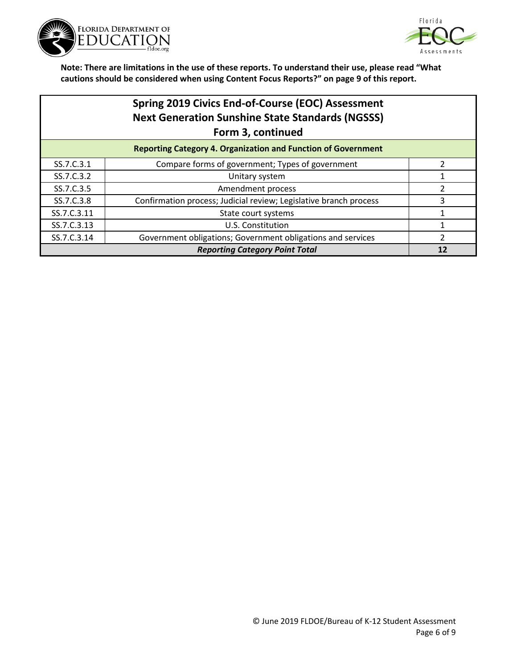



## **Spring 2019 Civics End-of-Course (EOC) Assessment Next Generation Sunshine State Standards (NGSSS) Form 3, continued**

| <b>Reporting Category 4. Organization and Function of Government</b> |                                                                   |  |
|----------------------------------------------------------------------|-------------------------------------------------------------------|--|
| SS.7.C.3.1                                                           | Compare forms of government; Types of government                  |  |
| SS.7.C.3.2                                                           | Unitary system                                                    |  |
| SS.7.C.3.5                                                           | Amendment process                                                 |  |
| SS.7.C.3.8                                                           | Confirmation process; Judicial review; Legislative branch process |  |
| SS.7.C.3.11                                                          | State court systems                                               |  |
| SS.7.C.3.13                                                          | U.S. Constitution                                                 |  |
| SS.7.C.3.14                                                          | Government obligations; Government obligations and services       |  |
| <b>Reporting Category Point Total</b>                                |                                                                   |  |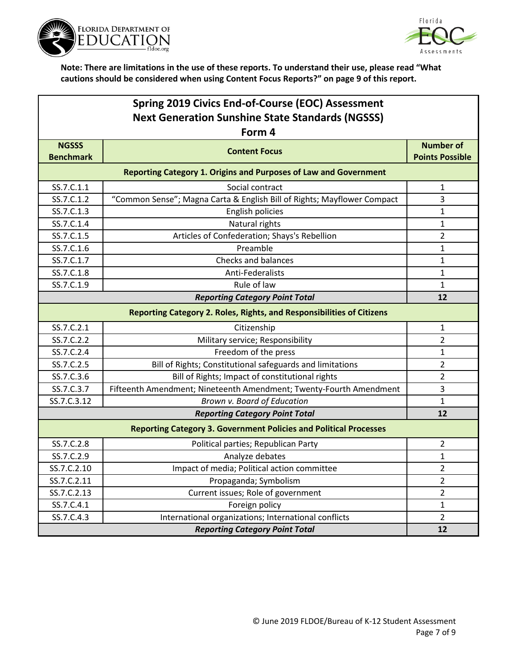



| Spring 2019 Civics End-of-Course (EOC) Assessment                        |                                                                         |                        |
|--------------------------------------------------------------------------|-------------------------------------------------------------------------|------------------------|
| <b>Next Generation Sunshine State Standards (NGSSS)</b>                  |                                                                         |                        |
|                                                                          | Form 4                                                                  |                        |
| <b>NGSSS</b>                                                             | <b>Content Focus</b>                                                    | <b>Number of</b>       |
| <b>Benchmark</b>                                                         |                                                                         | <b>Points Possible</b> |
|                                                                          | <b>Reporting Category 1. Origins and Purposes of Law and Government</b> |                        |
| SS.7.C.1.1                                                               | Social contract                                                         | $\mathbf{1}$           |
| SS.7.C.1.2                                                               | "Common Sense"; Magna Carta & English Bill of Rights; Mayflower Compact | 3                      |
| SS.7.C.1.3                                                               | English policies                                                        | 1                      |
| SS.7.C.1.4                                                               | Natural rights                                                          | $\mathbf{1}$           |
| SS.7.C.1.5                                                               | Articles of Confederation; Shays's Rebellion                            | $\overline{2}$         |
| SS.7.C.1.6                                                               | Preamble                                                                | 1                      |
| SS.7.C.1.7                                                               | <b>Checks and balances</b>                                              | $\mathbf{1}$           |
| SS.7.C.1.8                                                               | Anti-Federalists                                                        | $\mathbf{1}$           |
| SS.7.C.1.9                                                               | Rule of law                                                             | $\mathbf{1}$           |
| <b>Reporting Category Point Total</b>                                    |                                                                         |                        |
| Reporting Category 2. Roles, Rights, and Responsibilities of Citizens    |                                                                         |                        |
| SS.7.C.2.1                                                               | Citizenship                                                             | 1                      |
| SS.7.C.2.2                                                               | Military service; Responsibility                                        | $\overline{2}$         |
| SS.7.C.2.4                                                               | Freedom of the press                                                    | 1                      |
| SS.7.C.2.5                                                               | Bill of Rights; Constitutional safeguards and limitations               | 2                      |
| SS.7.C.3.6                                                               | Bill of Rights; Impact of constitutional rights                         | $\overline{2}$         |
| SS.7.C.3.7                                                               | Fifteenth Amendment; Nineteenth Amendment; Twenty-Fourth Amendment      | 3                      |
| SS.7.C.3.12                                                              | Brown v. Board of Education                                             | $\mathbf{1}$           |
|                                                                          | <b>Reporting Category Point Total</b>                                   | 12                     |
| <b>Reporting Category 3. Government Policies and Political Processes</b> |                                                                         |                        |
| SS.7.C.2.8                                                               | Political parties; Republican Party                                     | $\overline{2}$         |
| SS.7.C.2.9                                                               | Analyze debates                                                         | $\mathbf{1}$           |
| SS.7.C.2.10                                                              | Impact of media; Political action committee                             | $\overline{2}$         |
| SS.7.C.2.11                                                              | Propaganda; Symbolism                                                   | $\overline{2}$         |
| SS.7.C.2.13                                                              | Current issues; Role of government                                      | $\overline{2}$         |
| SS.7.C.4.1                                                               | Foreign policy                                                          | $\mathbf{1}$           |
| SS.7.C.4.3                                                               | International organizations; International conflicts                    | $\overline{2}$         |
| <b>Reporting Category Point Total</b>                                    |                                                                         | 12                     |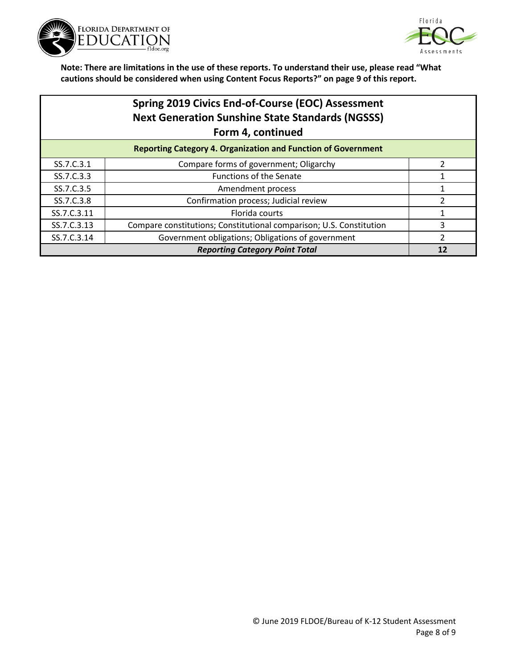



### **Spring 2019 Civics End-of-Course (EOC) Assessment Next Generation Sunshine State Standards (NGSSS) Form 4, continued**

| <b>Reporting Category 4. Organization and Function of Government</b> |                                                                     |  |
|----------------------------------------------------------------------|---------------------------------------------------------------------|--|
| SS.7.C.3.1                                                           | Compare forms of government; Oligarchy                              |  |
| SS.7.C.3.3                                                           | <b>Functions of the Senate</b>                                      |  |
| SS.7.C.3.5                                                           | Amendment process                                                   |  |
| SS.7.C.3.8                                                           | Confirmation process; Judicial review                               |  |
| SS.7.C.3.11                                                          | Florida courts                                                      |  |
| SS.7.C.3.13                                                          | Compare constitutions; Constitutional comparison; U.S. Constitution |  |
| SS.7.C.3.14                                                          | Government obligations; Obligations of government                   |  |
| <b>Reporting Category Point Total</b>                                |                                                                     |  |